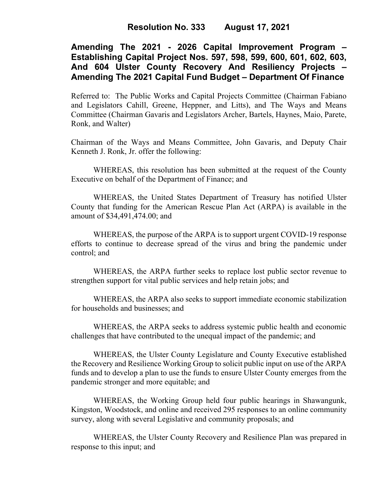# **Amending The 2021 - 2026 Capital Improvement Program – Establishing Capital Project Nos. 597, 598, 599, 600, 601, 602, 603, And 604 Ulster County Recovery And Resiliency Projects – Amending The 2021 Capital Fund Budget – Department Of Finance**

Referred to: The Public Works and Capital Projects Committee (Chairman Fabiano and Legislators Cahill, Greene, Heppner, and Litts), and The Ways and Means Committee (Chairman Gavaris and Legislators Archer, Bartels, Haynes, Maio, Parete, Ronk, and Walter)

Chairman of the Ways and Means Committee, John Gavaris, and Deputy Chair Kenneth J. Ronk, Jr. offer the following:

WHEREAS, this resolution has been submitted at the request of the County Executive on behalf of the Department of Finance; and

WHEREAS, the United States Department of Treasury has notified Ulster County that funding for the American Rescue Plan Act (ARPA) is available in the amount of \$34,491,474.00; and

WHEREAS, the purpose of the ARPA is to support urgent COVID-19 response efforts to continue to decrease spread of the virus and bring the pandemic under control; and

WHEREAS, the ARPA further seeks to replace lost public sector revenue to strengthen support for vital public services and help retain jobs; and

WHEREAS, the ARPA also seeks to support immediate economic stabilization for households and businesses; and

WHEREAS, the ARPA seeks to address systemic public health and economic challenges that have contributed to the unequal impact of the pandemic; and

WHEREAS, the Ulster County Legislature and County Executive established the Recovery and Resilience Working Group to solicit public input on use of the ARPA funds and to develop a plan to use the funds to ensure Ulster County emerges from the pandemic stronger and more equitable; and

WHEREAS, the Working Group held four public hearings in Shawangunk, Kingston, Woodstock, and online and received 295 responses to an online community survey, along with several Legislative and community proposals; and

WHEREAS, the Ulster County Recovery and Resilience Plan was prepared in response to this input; and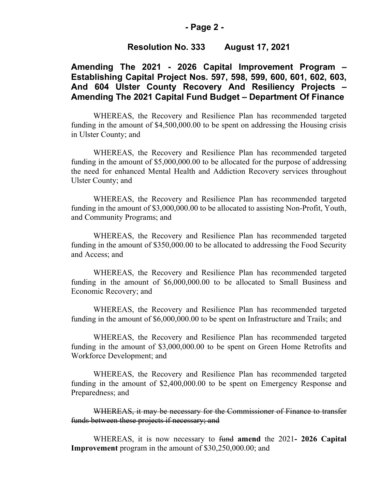#### **- Page 2 -**

#### **Resolution No. 333 August 17, 2021**

## **Amending The 2021 - 2026 Capital Improvement Program – Establishing Capital Project Nos. 597, 598, 599, 600, 601, 602, 603, And 604 Ulster County Recovery And Resiliency Projects – Amending The 2021 Capital Fund Budget – Department Of Finance**

WHEREAS, the Recovery and Resilience Plan has recommended targeted funding in the amount of \$4,500,000.00 to be spent on addressing the Housing crisis in Ulster County; and

WHEREAS, the Recovery and Resilience Plan has recommended targeted funding in the amount of \$5,000,000.00 to be allocated for the purpose of addressing the need for enhanced Mental Health and Addiction Recovery services throughout Ulster County; and

WHEREAS, the Recovery and Resilience Plan has recommended targeted funding in the amount of \$3,000,000.00 to be allocated to assisting Non-Profit, Youth, and Community Programs; and

WHEREAS, the Recovery and Resilience Plan has recommended targeted funding in the amount of \$350,000.00 to be allocated to addressing the Food Security and Access; and

WHEREAS, the Recovery and Resilience Plan has recommended targeted funding in the amount of \$6,000,000.00 to be allocated to Small Business and Economic Recovery; and

WHEREAS, the Recovery and Resilience Plan has recommended targeted funding in the amount of \$6,000,000.00 to be spent on Infrastructure and Trails; and

WHEREAS, the Recovery and Resilience Plan has recommended targeted funding in the amount of \$3,000,000.00 to be spent on Green Home Retrofits and Workforce Development; and

WHEREAS, the Recovery and Resilience Plan has recommended targeted funding in the amount of \$2,400,000.00 to be spent on Emergency Response and Preparedness; and

WHEREAS, it may be necessary for the Commissioner of Finance to transfer funds between these projects if necessary; and

WHEREAS, it is now necessary to fund **amend** the 2021**- 2026 Capital Improvement** program in the amount of \$30,250,000.00; and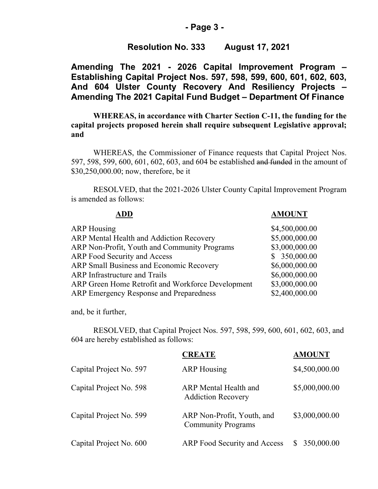#### **- Page 3 -**

### **Resolution No. 333 August 17, 2021**

**Amending The 2021 - 2026 Capital Improvement Program – Establishing Capital Project Nos. 597, 598, 599, 600, 601, 602, 603, And 604 Ulster County Recovery And Resiliency Projects – Amending The 2021 Capital Fund Budget – Department Of Finance**

**WHEREAS, in accordance with Charter Section C-11, the funding for the capital projects proposed herein shall require subsequent Legislative approval; and**

WHEREAS, the Commissioner of Finance requests that Capital Project Nos. 597, 598, 599, 600, 601, 602, 603, and 604 be established and funded in the amount of \$30,250,000.00; now, therefore, be it

RESOLVED, that the 2021-2026 Ulster County Capital Improvement Program is amended as follows:

| <b>AMOUNT</b>  |
|----------------|
| \$4,500,000.00 |
| \$5,000,000.00 |
| \$3,000,000.00 |
| \$350,000.00   |
| \$6,000,000.00 |
| \$6,000,000.00 |
| \$3,000,000.00 |
| \$2,400,000.00 |
|                |

and, be it further,

RESOLVED, that Capital Project Nos. 597, 598, 599, 600, 601, 602, 603, and 604 are hereby established as follows:

|                         | <b>CREATE</b>                                           | <b>AMOUNT</b>    |
|-------------------------|---------------------------------------------------------|------------------|
| Capital Project No. 597 | <b>ARP</b> Housing                                      | \$4,500,000.00   |
| Capital Project No. 598 | ARP Mental Health and<br><b>Addiction Recovery</b>      | \$5,000,000.00   |
| Capital Project No. 599 | ARP Non-Profit, Youth, and<br><b>Community Programs</b> | \$3,000,000.00   |
| Capital Project No. 600 | <b>ARP</b> Food Security and Access                     | 350,000.00<br>S. |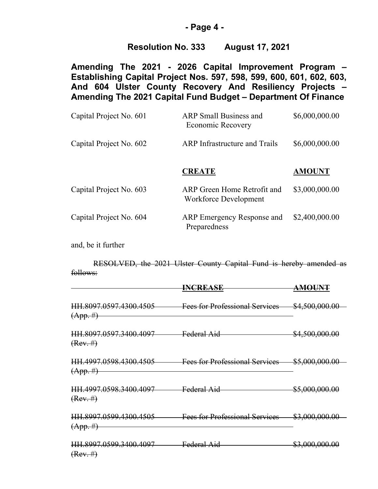#### **- Page 4 -**

## **Resolution No. 333 August 17, 2021**

**Amending The 2021 - 2026 Capital Improvement Program – Establishing Capital Project Nos. 597, 598, 599, 600, 601, 602, 603, And 604 Ulster County Recovery And Resiliency Projects – Amending The 2021 Capital Fund Budget – Department Of Finance**

| Capital Project No. 601 | <b>ARP</b> Small Business and<br><b>Economic Recovery</b> | \$6,000,000.00 |
|-------------------------|-----------------------------------------------------------|----------------|
| Capital Project No. 602 | <b>ARP</b> Infrastructure and Trails                      | \$6,000,000.00 |
|                         | <b>CREATE</b>                                             | <b>AMOUNT</b>  |
| Capital Project No. 603 | ARP Green Home Retrofit and<br>Workforce Development      | \$3,000,000.00 |
| Capital Project No. 604 | ARP Emergency Response and<br>Preparedness                | \$2,400,000.00 |

and, be it further

RESOLVED, the 2021 Ulster County Capital Fund is hereby amended as follows:

|                                                    | <b>INCREASE</b>                               | <del>AMOUNT</del>         |
|----------------------------------------------------|-----------------------------------------------|---------------------------|
| <del>HH.8097.0597.4300.4505  </del><br>$(App. \#)$ | Fees for Professional Services \$4,500,000.00 |                           |
| <del>IIII.8097.0597.3400.4097  </del><br>(Rev. #)  | Federal Aid                                   | \$4,500,000.00            |
| HH.4997.0598.4300.4505<br>$(App. \#)$              | <b>Fees for Professional Services</b>         | \$5,000,000.00            |
| HH.4997.0598.3400.4097<br>(Rev. #)                 | Federal Aid                                   | <del>\$5,000,000.00</del> |
| HH.8997.0599.4300.4505<br>$(App. \#)$              | <b>Fees for Professional Services</b>         | \$3,000,000.00            |
| <del>HH.8997.0599.3400.4097</del><br>(Rev. #)      | Federal Aid                                   | \$3,000,000.00            |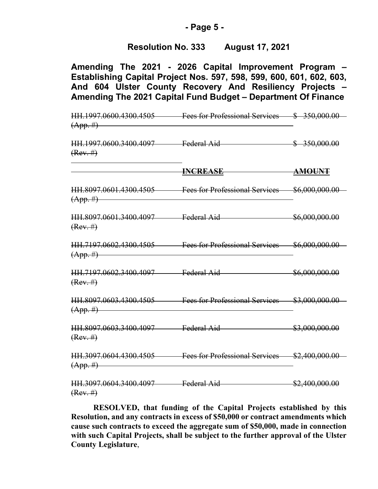### **- Page 5 -**

## **Resolution No. 333 August 17, 2021**

**Amending The 2021 - 2026 Capital Improvement Program – Establishing Capital Project Nos. 597, 598, 599, 600, 601, 602, 603, And 604 Ulster County Recovery And Resiliency Projects – Amending The 2021 Capital Fund Budget – Department Of Finance**

HH.1997.0600.4300.4505 Fees for Professional Services \$ 350,000.00  $(App. \#)$ HH.1997.0600.3400.4097 Federal Aid \$ 350,000.00  $(Rev. #)$ **INCREASE AMOUNT** HH.8097.0601.4300.4505 Fees for Professional Services \$6,000,000.00  $(App. \#)$ HH.8097.0601.3400.4097 Federal Aid  $$6,000,000,000$  $(Rev. #)$ HH.7197.0602.4300.4505 Fees for Professional Services \$6,000,000.00  $(App. \#)$ HH.7197.0602.3400.4097 Federal Aid \$6,000,000.00  $(Rev. #)$ HH.8097.0603.4300.4505 Fees for Professional Services \$3,000,000.00  $(App. \#)$ HH.8097.0603.3400.4097 Federal Aid \$3,000,000.00  $(Rev. #)$ HH.3097.0604.4300.4505 Fees for Professional Services \$2,400,000.00  $(App. \#)$ HH.3097.0604.3400.4097 Federal Aid \$2,400,000.00  $(Rev. #)$ 

**RESOLVED, that funding of the Capital Projects established by this Resolution, and any contracts in excess of \$50,000 or contract amendments which cause such contracts to exceed the aggregate sum of \$50,000, made in connection with such Capital Projects, shall be subject to the further approval of the Ulster County Legislature**,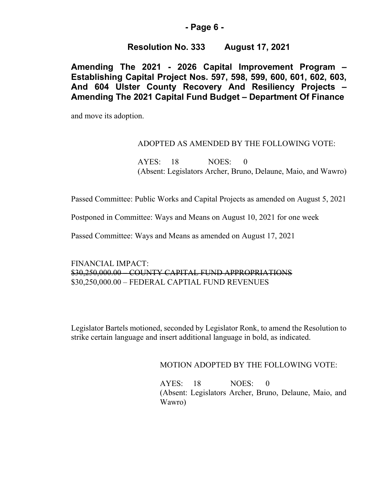### **- Page 6 -**

## **Resolution No. 333 August 17, 2021**

**Amending The 2021 - 2026 Capital Improvement Program – Establishing Capital Project Nos. 597, 598, 599, 600, 601, 602, 603, And 604 Ulster County Recovery And Resiliency Projects – Amending The 2021 Capital Fund Budget – Department Of Finance**

and move its adoption.

### ADOPTED AS AMENDED BY THE FOLLOWING VOTE:

AYES: 18 NOES: 0 (Absent: Legislators Archer, Bruno, Delaune, Maio, and Wawro)

Passed Committee: Public Works and Capital Projects as amended on August 5, 2021

Postponed in Committee: Ways and Means on August 10, 2021 for one week

Passed Committee: Ways and Means as amended on August 17, 2021

FINANCIAL IMPACT: \$30,250,000.00 – COUNTY CAPITAL FUND APPROPRIATIONS \$30,250,000.00 – FEDERAL CAPTIAL FUND REVENUES

Legislator Bartels motioned, seconded by Legislator Ronk, to amend the Resolution to strike certain language and insert additional language in bold, as indicated.

MOTION ADOPTED BY THE FOLLOWING VOTE:

AYES: 18 NOES: 0 (Absent: Legislators Archer, Bruno, Delaune, Maio, and Wawro)